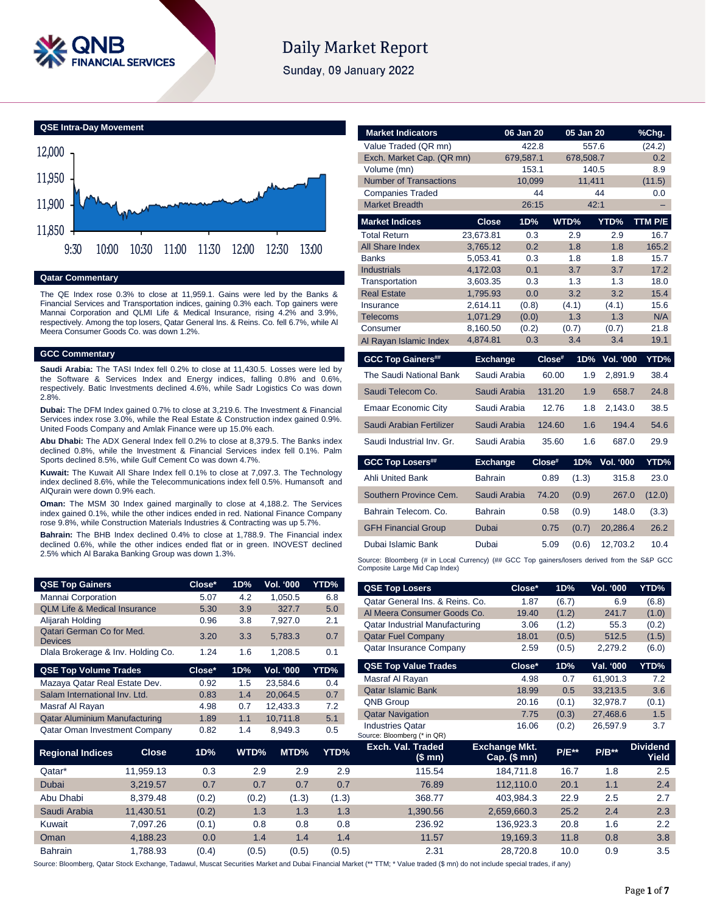

# **Daily Market Report**

Sunday, 09 January 2022

**QSE Intra-Day Movement**



#### **Qatar Commentary**

The QE Index rose 0.3% to close at 11,959.1. Gains were led by the Banks & Financial Services and Transportation indices, gaining 0.3% each. Top gainers were Mannai Corporation and QLMI Life & Medical Insurance, rising 4.2% and 3.9%, respectively. Among the top losers, Qatar General Ins. & Reins. Co. fell 6.7%, while Al Meera Consumer Goods Co. was down 1.2%.

#### **GCC Commentary**

**Saudi Arabia:** The TASI Index fell 0.2% to close at 11,430.5. Losses were led by the Software & Services Index and Energy indices, falling 0.8% and 0.6%, respectively. Batic Investments declined 4.6%, while Sadr Logistics Co was down 2.8%.

**Dubai:** The DFM Index gained 0.7% to close at 3,219.6. The Investment & Financial Services index rose 3.0%, while the Real Estate & Construction index gained 0.9%. United Foods Company and Amlak Finance were up 15.0% each.

**Abu Dhabi:** The ADX General Index fell 0.2% to close at 8,379.5. The Banks index declined 0.8%, while the Investment & Financial Services index fell 0.1%. Palm Sports declined 8.5%, while Gulf Cement Co was down 4.7%.

**Kuwait:** The Kuwait All Share Index fell 0.1% to close at 7,097.3. The Technology index declined 8.6%, while the Telecommunications index fell 0.5%. Humansoft and AlQurain were down 0.9% each.

**Oman:** The MSM 30 Index gained marginally to close at 4,188.2. The Services index gained 0.1%, while the other indices ended in red. National Finance Company rose 9.8%, while Construction Materials Industries & Contracting was up 5.7%.

**Bahrain:** The BHB Index declined 0.4% to close at 1,788.9. The Financial index declined 0.6%, while the other indices ended flat or in green. INOVEST declined 2.5% which Al Baraka Banking Group was down 1.3%.

| <b>QSE Top Gainers</b>                      | Close* | 1D% | <b>Vol. '000</b> | YTD% |
|---------------------------------------------|--------|-----|------------------|------|
| Mannai Corporation                          | 5.07   | 4.2 | 1.050.5          | 6.8  |
| <b>QLM Life &amp; Medical Insurance</b>     | 5.30   | 3.9 | 327.7            | 5.0  |
| Alijarah Holding                            | 0.96   | 3.8 | 7.927.0          | 2.1  |
| Qatari German Co for Med.<br><b>Devices</b> | 3.20   | 3.3 | 5.783.3          | 0.7  |
| Dlala Brokerage & Inv. Holding Co.          | 1.24   | 1.6 | 1.208.5          | 0.1  |
|                                             |        |     |                  |      |
| <b>QSE Top Volume Trades</b>                | Close* | 1D% | <b>Vol. '000</b> | YTD% |
| Mazaya Qatar Real Estate Dev.               | 0.92   | 1.5 | 23.584.6         | 0.4  |
| Salam International Inv. Ltd.               | 0.83   | 1.4 | 20.064.5         | 0.7  |
| Masraf Al Rayan                             | 4.98   | 0.7 | 12,433.3         | 7.2  |
| <b>Qatar Aluminium Manufacturing</b>        | 1.89   | 1.1 | 10.711.8         | 5.1  |

| <b>Market Indicators</b>      |                      | 06 Jan 20      |           | 05 Jan 20    |                  | %Chg.       |
|-------------------------------|----------------------|----------------|-----------|--------------|------------------|-------------|
| Value Traded (QR mn)          |                      | 422.8          |           | 557.6        |                  | (24.2)      |
| Exch. Market Cap. (QR mn)     |                      | 679,587.1      |           | 678,508.7    |                  | 0.2         |
| Volume (mn)                   |                      | 153.1          |           | 140.5        |                  | 8.9         |
| <b>Number of Transactions</b> |                      | 10.099         |           | 11.411       |                  | (11.5)      |
| <b>Companies Traded</b>       |                      |                | 44        |              | 44               | 0.0         |
| <b>Market Breadth</b>         |                      | 26:15          |           | 42:1         |                  |             |
| <b>Market Indices</b>         | <b>Close</b>         | 1D%            |           | WTD%         | YTD%             | TTM P/E     |
| <b>Total Return</b>           | 23,673.81            | 0.3            |           | 2.9          | 2.9              | 16.7        |
| <b>All Share Index</b>        | 3,765.12             | 0.2            |           | 1.8          | 1.8              | 165.2       |
| <b>Banks</b>                  | 5,053.41             | 0.3            |           | 1.8          | 1.8              | 15.7        |
| <b>Industrials</b>            | 4,172.03             | 0.1            |           | 3.7          | 3.7              | 17.2        |
| Transportation                | 3,603.35             | 0.3            |           | 1.3          | 1.3              | 18.0        |
| <b>Real Estate</b>            | 1.795.93             | 0.0            |           | 3.2          | 3.2              | 15.4        |
| Insurance                     | 2,614.11             | (0.8)          |           | (4.1)<br>1.3 | (4.1)<br>1.3     | 15.6<br>N/A |
| Telecoms<br>Consumer          | 1,071.29<br>8,160.50 | (0.0)<br>(0.2) |           | (0.7)        | (0.7)            | 21.8        |
| Al Rayan Islamic Index        | 4,874.81             | 0.3            |           | 3.4          | 3.4              | 19.1        |
|                               |                      |                | $Close^*$ |              |                  | YTD%        |
| <b>GCC Top Gainers##</b>      | <b>Exchange</b>      |                |           | 1D%          | <b>Vol. '000</b> |             |
|                               |                      |                |           |              |                  |             |
| The Saudi National Bank       | Saudi Arabia         |                | 60.00     | 1.9          | 2.891.9          | 38.4        |
| Saudi Telecom Co.             | Saudi Arabia         |                | 131.20    | 1.9          | 658.7            | 24.8        |
| <b>Emaar Economic City</b>    | Saudi Arabia         |                | 12.76     | 1.8          | 2,143.0          | 38.5        |
| Saudi Arabian Fertilizer      | Saudi Arabia         |                | 124.60    | 1.6          | 194.4            | 54.6        |
| Saudi Industrial Inv. Gr.     | Saudi Arabia         |                | 35.60     | 1.6          | 687.0            | 29.9        |
| <b>GCC Top Losers##</b>       | <b>Exchange</b>      |                | Close#    | 1D%          | Vol. '000        | YTD%        |
| <b>Ahli United Bank</b>       | <b>Bahrain</b>       |                | 0.89      | (1.3)        | 315.8            | 23.0        |
| Southern Province Cem.        | Saudi Arabia         |                | 74.20     | (0.9)        | 267.0            | (12.0)      |
| Bahrain Telecom, Co.          | <b>Bahrain</b>       |                | 0.58      | (0.9)        | 148.0            | (3.3)       |
| <b>GFH Financial Group</b>    | Dubai                |                | 0.75      | (0.7)        | 20,286.4         | 26.2        |
| Dubai Islamic Bank            | Dubai                |                | 5.09      | (0.6)        | 12,703.2         | 10.4        |

| <b>QSE Top Gainers</b>                  |           | Close* | 1D%   | Vol. '000 | YTD%  |                                       |                                          |         |                  |                          |
|-----------------------------------------|-----------|--------|-------|-----------|-------|---------------------------------------|------------------------------------------|---------|------------------|--------------------------|
| Mannai Corporation                      |           | 5.07   | 4.2   | 1,050.5   | 6.8   | <b>QSE Top Losers</b>                 | Close*                                   | 1D%     | <b>Vol. '000</b> | YTD%                     |
| <b>QLM Life &amp; Medical Insurance</b> |           | 5.30   | 3.9   | 327.7     | 5.0   | Qatar General Ins. & Reins. Co.       | 1.87                                     | (6.7)   | 6.9              | (6.8)                    |
| Alijarah Holding                        |           | 0.96   | 3.8   | 7,927.0   | 2.1   | Al Meera Consumer Goods Co.           | 19.40                                    | (1.2)   | 241.7            | (1.0)                    |
| Qatari German Co for Med.               |           |        |       |           |       | <b>Qatar Industrial Manufacturing</b> | 3.06                                     | (1.2)   | 55.3             | (0.2)                    |
| <b>Devices</b>                          |           | 3.20   | 3.3   | 5,783.3   | 0.7   | <b>Qatar Fuel Company</b>             | 18.01                                    | (0.5)   | 512.5            | (1.5)                    |
| Dlala Brokerage & Inv. Holding Co.      |           | 1.24   | 1.6   | 1,208.5   | 0.1   | <b>Qatar Insurance Company</b>        | 2.59                                     | (0.5)   | 2,279.2          | (6.0)                    |
| <b>QSE Top Volume Trades</b>            |           | Close* | 1D%   | Vol. '000 | YTD%  | <b>QSE Top Value Trades</b>           | Close*                                   | 1D%     | Val. '000        | YTD%                     |
| Mazaya Qatar Real Estate Dev.           |           | 0.92   | 1.5   | 23,584.6  | 0.4   | Masraf Al Rayan                       | 4.98                                     | 0.7     | 61,901.3         | 7.2                      |
| Salam International Inv. Ltd.           |           | 0.83   | 1.4   | 20,064.5  | 0.7   | <b>Qatar Islamic Bank</b>             | 18.99                                    | 0.5     | 33,213.5         | 3.6                      |
| Masraf Al Rayan                         |           | 4.98   | 0.7   | 12,433.3  | 7.2   | QNB Group                             | 20.16                                    | (0.1)   | 32,978.7         | (0.1)                    |
| <b>Qatar Aluminium Manufacturing</b>    |           | 1.89   | 1.1   | 10,711.8  | 5.1   | <b>Qatar Navigation</b>               | 7.75                                     | (0.3)   | 27,468.6         | 1.5                      |
| Qatar Oman Investment Company           |           | 0.82   | 1.4   | 8,949.3   | 0.5   | <b>Industries Qatar</b>               | 16.06                                    | (0.2)   | 26,597.9         | 3.7                      |
|                                         |           |        |       |           |       | Source: Bloomberg (* in QR)           |                                          |         |                  |                          |
| <b>Regional Indices</b>                 | Close     | 1D%    | WTD%  | MTD%      | YTD%  | Exch. Val. Traded<br>(\$ mn)          | <b>Exchange Mkt.</b><br>Cap. $($$ mn $)$ | $P/E**$ | $P/B**$          | <b>Dividend</b><br>Yield |
| Qatar*                                  | 11,959.13 | 0.3    | 2.9   | 2.9       | 2.9   | 115.54                                | 184,711.8                                | 16.7    | 1.8              | 2.5                      |
| Dubai                                   | 3,219.57  | 0.7    | 0.7   | 0.7       | 0.7   | 76.89                                 | 112,110.0                                | 20.1    | 1.1              | 2.4                      |
| Abu Dhabi                               | 8,379.48  | (0.2)  | (0.2) | (1.3)     | (1.3) | 368.77                                | 403,984.3                                | 22.9    | 2.5              | 2.7                      |
| Saudi Arabia                            | 11,430.51 | (0.2)  | 1.3   | 1.3       | 1.3   | 1,390.56                              | 2,659,660.3                              | 25.2    | 2.4              | 2.3                      |
| Kuwait                                  | 7,097.26  | (0.1)  | 0.8   | 0.8       | 0.8   | 236.92                                | 136,923.3                                | 20.8    | 1.6              | 2.2                      |
| Oman                                    | 4,188.23  | 0.0    | 1.4   | 1.4       | 1.4   | 11.57                                 | 19,169.3                                 | 11.8    | 0.8              | 3.8                      |
| Bahrain                                 | 1,788.93  | (0.4)  | (0.5) | (0.5)     | (0.5) | 2.31                                  | 28,720.8                                 | 10.0    | 0.9              | 3.5                      |

Source: Bloomberg, Qatar Stock Exchange, Tadawul, Muscat Securities Market and Dubai Financial Market (\*\* TTM; \* Value traded (\$ mn) do not include special trades, if any)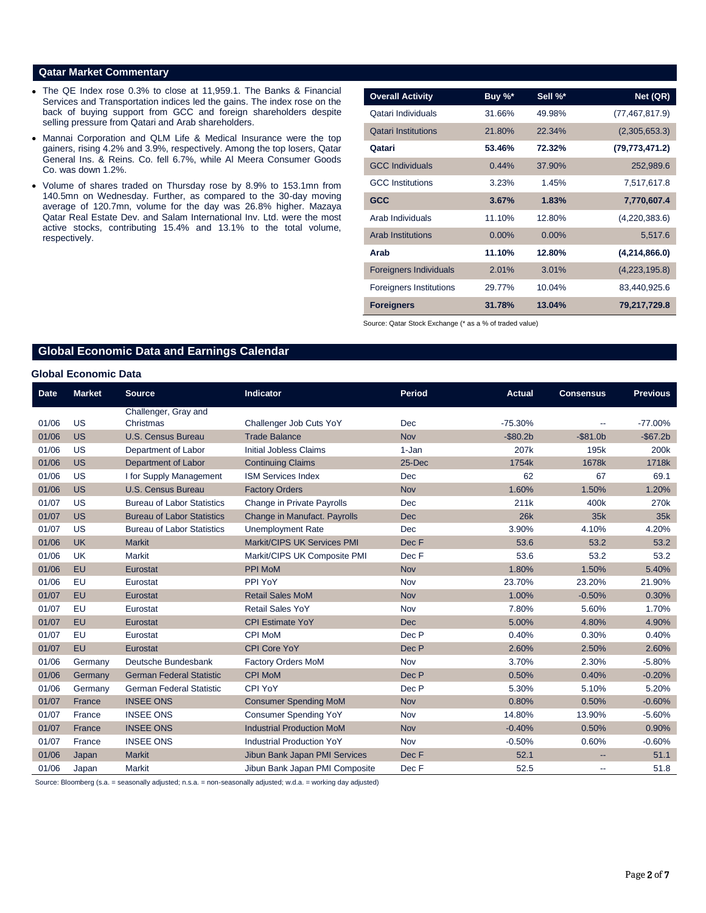### **Qatar Market Commentary**

- The QE Index rose 0.3% to close at 11,959.1. The Banks & Financial Services and Transportation indices led the gains. The index rose on the back of buying support from GCC and foreign shareholders despite selling pressure from Qatari and Arab shareholders.
- Mannai Corporation and QLM Life & Medical Insurance were the top gainers, rising 4.2% and 3.9%, respectively. Among the top losers, Qatar General Ins. & Reins. Co. fell 6.7%, while Al Meera Consumer Goods Co. was down 1.2%.
- Volume of shares traded on Thursday rose by 8.9% to 153.1mn from 140.5mn on Wednesday. Further, as compared to the 30-day moving average of 120.7mn, volume for the day was 26.8% higher. Mazaya Qatar Real Estate Dev. and Salam International Inv. Ltd. were the most active stocks, contributing 15.4% and 13.1% to the total volume, respectively.

| <b>Overall Activity</b>        | Buy %*   | Sell %*  | Net (QR)         |
|--------------------------------|----------|----------|------------------|
| Qatari Individuals             | 31.66%   | 49.98%   | (77, 467, 817.9) |
| <b>Qatari Institutions</b>     | 21.80%   | 22.34%   | (2,305,653.3)    |
| Qatari                         | 53.46%   | 72.32%   | (79, 773, 471.2) |
| <b>GCC Individuals</b>         | 0.44%    | 37.90%   | 252,989.6        |
| <b>GCC</b> Institutions        | 3.23%    | 1.45%    | 7,517,617.8      |
| <b>GCC</b>                     | 3.67%    | 1.83%    | 7,770,607.4      |
| Arab Individuals               | 11.10%   | 12.80%   | (4,220,383.6)    |
| <b>Arab Institutions</b>       | $0.00\%$ | $0.00\%$ | 5,517.6          |
| Arab                           | 11.10%   | 12.80%   | (4,214,866.0)    |
| <b>Foreigners Individuals</b>  | 2.01%    | 3.01%    | (4,223,195.8)    |
| <b>Foreigners Institutions</b> | 29.77%   | 10.04%   | 83,440,925.6     |
| <b>Foreigners</b>              | 31.78%   | 13.04%   | 79,217,729.8     |

Source: Qatar Stock Exchange (\* as a % of traded value)

# **Global Economic Data and Earnings Calendar**

#### **Global Economic Data**

| <b>Date</b> | <b>Market</b> | <b>Source</b>                     | <b>Indicator</b>                    | <b>Period</b> | Actual      | <b>Consensus</b> | <b>Previous</b>  |
|-------------|---------------|-----------------------------------|-------------------------------------|---------------|-------------|------------------|------------------|
|             |               | Challenger, Gray and              |                                     |               |             |                  |                  |
| 01/06       | US            | Christmas                         | Challenger Job Cuts YoY             | Dec           | $-75.30%$   | $-$              | $-77.00\%$       |
| 01/06       | <b>US</b>     | <b>U.S. Census Bureau</b>         | <b>Trade Balance</b>                | <b>Nov</b>    | $-$ \$80.2b | $-$ \$81.0b      | $-$67.2b$        |
| 01/06       | US            | Department of Labor               | <b>Initial Jobless Claims</b>       | 1-Jan         | 207k        | 195k             | 200k             |
| 01/06       | <b>US</b>     | Department of Labor               | <b>Continuing Claims</b>            | 25-Dec        | 1754k       | 1678k            | 1718k            |
| 01/06       | US            | I for Supply Management           | <b>ISM Services Index</b>           | Dec           | 62          | 67               | 69.1             |
| 01/06       | <b>US</b>     | U.S. Census Bureau                | <b>Factory Orders</b>               | <b>Nov</b>    | 1.60%       | 1.50%            | 1.20%            |
| 01/07       | US            | <b>Bureau of Labor Statistics</b> | Change in Private Payrolls          | Dec           | 211k        | 400k             | 270 <sub>k</sub> |
| 01/07       | <b>US</b>     | <b>Bureau of Labor Statistics</b> | <b>Change in Manufact. Payrolls</b> | <b>Dec</b>    | 26k         | 35k              | 35k              |
| 01/07       | US            | <b>Bureau of Labor Statistics</b> | <b>Unemployment Rate</b>            | Dec           | 3.90%       | 4.10%            | 4.20%            |
| 01/06       | <b>UK</b>     | <b>Markit</b>                     | Markit/CIPS UK Services PMI         | Dec F         | 53.6        | 53.2             | 53.2             |
| 01/06       | <b>UK</b>     | <b>Markit</b>                     | Markit/CIPS UK Composite PMI        | Dec F         | 53.6        | 53.2             | 53.2             |
| 01/06       | <b>EU</b>     | Eurostat                          | <b>PPI MoM</b>                      | <b>Nov</b>    | 1.80%       | 1.50%            | 5.40%            |
| 01/06       | EU            | Eurostat                          | PPI YoY                             | Nov           | 23.70%      | 23.20%           | 21.90%           |
| 01/07       | <b>EU</b>     | Eurostat                          | <b>Retail Sales MoM</b>             | <b>Nov</b>    | 1.00%       | $-0.50%$         | 0.30%            |
| 01/07       | EU            | Eurostat                          | <b>Retail Sales YoY</b>             | Nov           | 7.80%       | 5.60%            | 1.70%            |
| 01/07       | <b>EU</b>     | Eurostat                          | <b>CPI Estimate YoY</b>             | <b>Dec</b>    | 5.00%       | 4.80%            | 4.90%            |
| 01/07       | EU            | Eurostat                          | <b>CPI MoM</b>                      | Dec P         | 0.40%       | 0.30%            | 0.40%            |
| 01/07       | <b>EU</b>     | Eurostat                          | <b>CPI Core YoY</b>                 | Dec P         | 2.60%       | 2.50%            | 2.60%            |
| 01/06       | Germany       | Deutsche Bundesbank               | Factory Orders MoM                  | Nov           | 3.70%       | 2.30%            | $-5.80%$         |
| 01/06       | Germany       | <b>German Federal Statistic</b>   | <b>CPI MoM</b>                      | Dec P         | 0.50%       | 0.40%            | $-0.20%$         |
| 01/06       | Germany       | <b>German Federal Statistic</b>   | CPI YoY                             | Dec P         | 5.30%       | 5.10%            | 5.20%            |
| 01/07       | France        | <b>INSEE ONS</b>                  | <b>Consumer Spending MoM</b>        | <b>Nov</b>    | 0.80%       | 0.50%            | $-0.60%$         |
| 01/07       | France        | <b>INSEE ONS</b>                  | <b>Consumer Spending YoY</b>        | Nov           | 14.80%      | 13.90%           | $-5.60%$         |
| 01/07       | France        | <b>INSEE ONS</b>                  | <b>Industrial Production MoM</b>    | <b>Nov</b>    | $-0.40%$    | 0.50%            | 0.90%            |
| 01/07       | France        | <b>INSEE ONS</b>                  | <b>Industrial Production YoY</b>    | Nov           | $-0.50%$    | 0.60%            | $-0.60%$         |
| 01/06       | Japan         | <b>Markit</b>                     | Jibun Bank Japan PMI Services       | Dec F         | 52.1        |                  | 51.1             |
| 01/06       | Japan         | <b>Markit</b>                     | Jibun Bank Japan PMI Composite      | Dec F         | 52.5        | $\overline{a}$   | 51.8             |

Source: Bloomberg (s.a. = seasonally adjusted; n.s.a. = non-seasonally adjusted; w.d.a. = working day adjusted)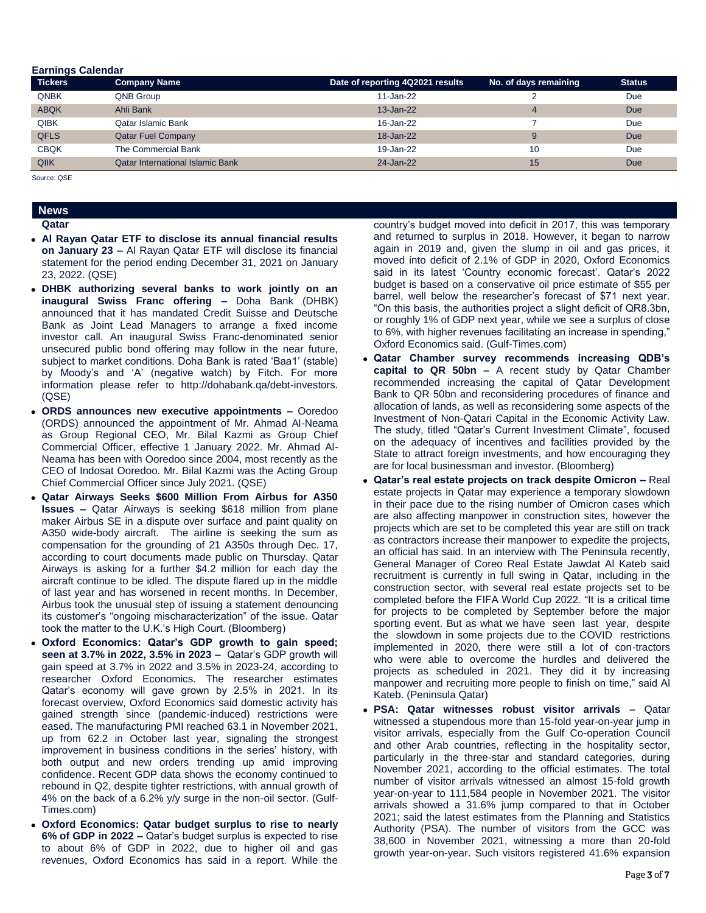#### **Earnings Calendar**

| <b>Tickers</b> | <b>Company Name</b>                     | Date of reporting 4Q2021 results | No. of days remaining | <b>Status</b> |
|----------------|-----------------------------------------|----------------------------------|-----------------------|---------------|
| <b>QNBK</b>    | QNB Group                               | 11-Jan-22                        |                       | <b>Due</b>    |
| <b>ABQK</b>    | Ahli Bank                               | $13 - Jan-22$                    |                       | <b>Due</b>    |
| <b>QIBK</b>    | Qatar Islamic Bank                      | 16-Jan-22                        |                       | Due           |
| <b>QFLS</b>    | <b>Qatar Fuel Company</b>               | $18 - Jan-22$                    | $\mathbf C$           | Due           |
| <b>CBQK</b>    | The Commercial Bank                     | 19-Jan-22                        | 10                    | Due           |
| QIIK           | <b>Qatar International Islamic Bank</b> | 24-Jan-22                        | 15                    | <b>Due</b>    |

Source: QSE

# **News**

#### **Qatar**

- **Al Rayan Qatar ETF to disclose its annual financial results on January 23 –** Al Rayan Qatar ETF will disclose its financial statement for the period ending December 31, 2021 on January 23, 2022. (QSE)
- **DHBK authorizing several banks to work jointly on an inaugural Swiss Franc offering –** Doha Bank (DHBK) announced that it has mandated Credit Suisse and Deutsche Bank as Joint Lead Managers to arrange a fixed income investor call. An inaugural Swiss Franc-denominated senior unsecured public bond offering may follow in the near future, subject to market conditions. Doha Bank is rated 'Baa1' (stable) by Moody's and 'A' (negative watch) by Fitch. For more information please refer to http://dohabank.qa/debt-investors. (QSE)
- **ORDS announces new executive appointments –** Ooredoo (ORDS) announced the appointment of Mr. Ahmad Al-Neama as Group Regional CEO, Mr. Bilal Kazmi as Group Chief Commercial Officer, effective 1 January 2022. Mr. Ahmad Al-Neama has been with Ooredoo since 2004, most recently as the CEO of Indosat Ooredoo. Mr. Bilal Kazmi was the Acting Group Chief Commercial Officer since July 2021. (QSE)
- **Qatar Airways Seeks \$600 Million From Airbus for A350 Issues –** Qatar Airways is seeking \$618 million from plane maker Airbus SE in a dispute over surface and paint quality on A350 wide-body aircraft. The airline is seeking the sum as compensation for the grounding of 21 A350s through Dec. 17, according to court documents made public on Thursday. Qatar Airways is asking for a further \$4.2 million for each day the aircraft continue to be idled. The dispute flared up in the middle of last year and has worsened in recent months. In December, Airbus took the unusual step of issuing a statement denouncing its customer's "ongoing mischaracterization" of the issue. Qatar took the matter to the U.K.'s High Court. (Bloomberg)
- **Oxford Economics: Qatar's GDP growth to gain speed; seen at 3.7% in 2022, 3.5% in 2023 –** Qatar's GDP growth will gain speed at 3.7% in 2022 and 3.5% in 2023-24, according to researcher Oxford Economics. The researcher estimates Qatar's economy will gave grown by 2.5% in 2021. In its forecast overview, Oxford Economics said domestic activity has gained strength since (pandemic-induced) restrictions were eased. The manufacturing PMI reached 63.1 in November 2021, up from 62.2 in October last year, signaling the strongest improvement in business conditions in the series' history, with both output and new orders trending up amid improving confidence. Recent GDP data shows the economy continued to rebound in Q2, despite tighter restrictions, with annual growth of 4% on the back of a 6.2% y/y surge in the non-oil sector. (Gulf-Times.com)
- **Oxford Economics: Qatar budget surplus to rise to nearly 6% of GDP in 2022 –** Qatar's budget surplus is expected to rise to about 6% of GDP in 2022, due to higher oil and gas revenues, Oxford Economics has said in a report. While the

country's budget moved into deficit in 2017, this was temporary and returned to surplus in 2018. However, it began to narrow again in 2019 and, given the slump in oil and gas prices, it moved into deficit of 2.1% of GDP in 2020, Oxford Economics said in its latest 'Country economic forecast'. Qatar's 2022 budget is based on a conservative oil price estimate of \$55 per barrel, well below the researcher's forecast of \$71 next year. "On this basis, the authorities project a slight deficit of QR8.3bn, or roughly 1% of GDP next year, while we see a surplus of close to 6%, with higher revenues facilitating an increase in spending," Oxford Economics said. (Gulf-Times.com)

- **Qatar Chamber survey recommends increasing QDB's capital to QR 50bn –** A recent study by Qatar Chamber recommended increasing the capital of Qatar Development Bank to QR 50bn and reconsidering procedures of finance and allocation of lands, as well as reconsidering some aspects of the Investment of Non-Qatari Capital in the Economic Activity Law. The study, titled "Qatar's Current Investment Climate", focused on the adequacy of incentives and facilities provided by the State to attract foreign investments, and how encouraging they are for local businessman and investor. (Bloomberg)
- **Qatar's real estate projects on track despite Omicron –** Real estate projects in Qatar may experience a temporary slowdown in their pace due to the rising number of Omicron cases which are also affecting manpower in construction sites, however the projects which are set to be completed this year are still on track as contractors increase their manpower to expedite the projects, an official has said. In an interview with The Peninsula recently, General Manager of Coreo Real Estate Jawdat Al Kateb said recruitment is currently in full swing in Qatar, including in the construction sector, with several real estate projects set to be completed before the FIFA World Cup 2022. "It is a critical time for projects to be completed by September before the major sporting event. But as what we have seen last year, despite the slowdown in some projects due to the COVID restrictions implemented in 2020, there were still a lot of con-tractors who were able to overcome the hurdles and delivered the projects as scheduled in 2021. They did it by increasing manpower and recruiting more people to finish on time," said Al Kateb. (Peninsula Qatar)
- **PSA: Qatar witnesses robust visitor arrivals –** Qatar witnessed a stupendous more than 15-fold year-on-year jump in visitor arrivals, especially from the Gulf Co-operation Council and other Arab countries, reflecting in the hospitality sector, particularly in the three-star and standard categories, during November 2021, according to the official estimates. The total number of visitor arrivals witnessed an almost 15-fold growth year-on-year to 111,584 people in November 2021. The visitor arrivals showed a 31.6% jump compared to that in October 2021; said the latest estimates from the Planning and Statistics Authority (PSA). The number of visitors from the GCC was 38,600 in November 2021, witnessing a more than 20-fold growth year-on-year. Such visitors registered 41.6% expansion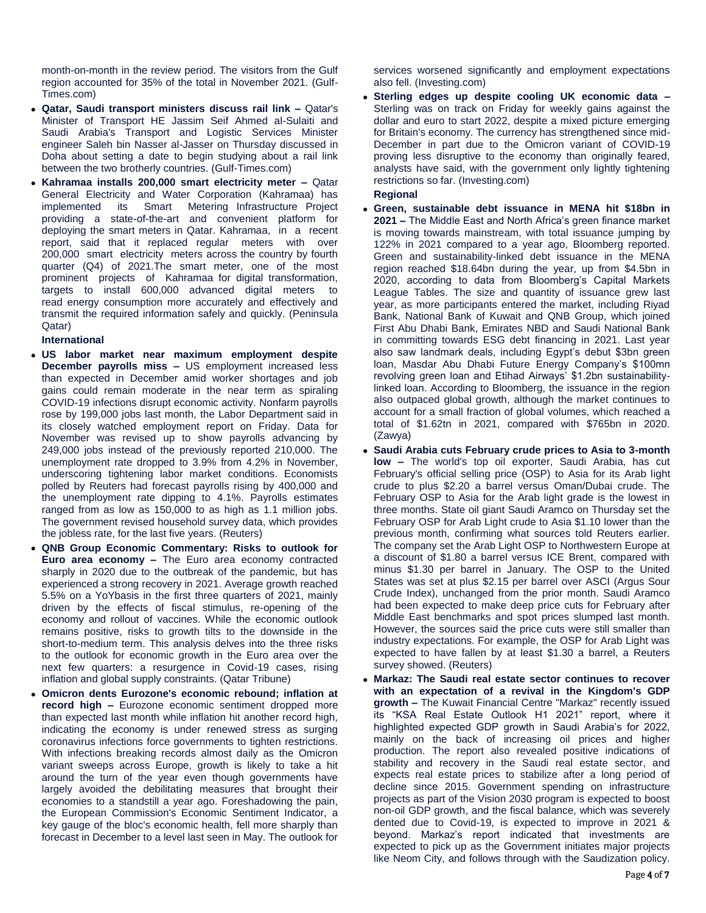month-on-month in the review period. The visitors from the Gulf region accounted for 35% of the total in November 2021. (Gulf-Times.com)

- **Qatar, Saudi transport ministers discuss rail link –** Qatar's Minister of Transport HE Jassim Seif Ahmed al-Sulaiti and Saudi Arabia's Transport and Logistic Services Minister engineer Saleh bin Nasser al-Jasser on Thursday discussed in Doha about setting a date to begin studying about a rail link between the two brotherly countries. (Gulf-Times.com)
- **Kahramaa installs 200,000 smart electricity meter –** Qatar General Electricity and Water Corporation (Kahramaa) has implemented its Smart Metering Infrastructure Project providing a state-of-the-art and convenient platform for deploying the smart meters in Qatar. Kahramaa, in a recent report, said that it replaced regular meters with over 200,000 smart electricity meters across the country by fourth quarter (Q4) of 2021.The smart meter, one of the most prominent projects of Kahramaa for digital transformation, targets to install 600,000 advanced digital meters to read energy consumption more accurately and effectively and transmit the required information safely and quickly. (Peninsula Qatar)

### **International**

- **US labor market near maximum employment despite December payrolls miss –** US employment increased less than expected in December amid worker shortages and job gains could remain moderate in the near term as spiraling COVID-19 infections disrupt economic activity. Nonfarm payrolls rose by 199,000 jobs last month, the Labor Department said in its closely watched employment report on Friday. Data for November was revised up to show payrolls advancing by 249,000 jobs instead of the previously reported 210,000. The unemployment rate dropped to 3.9% from 4.2% in November, underscoring tightening labor market conditions. Economists polled by Reuters had forecast payrolls rising by 400,000 and the unemployment rate dipping to 4.1%. Payrolls estimates ranged from as low as 150,000 to as high as 1.1 million jobs. The government revised household survey data, which provides the jobless rate, for the last five years. (Reuters)
- **QNB Group Economic Commentary: Risks to outlook for Euro area economy –** The Euro area economy contracted sharply in 2020 due to the outbreak of the pandemic, but has experienced a strong recovery in 2021. Average growth reached 5.5% on a YoYbasis in the first three quarters of 2021, mainly driven by the effects of fiscal stimulus, re-opening of the economy and rollout of vaccines. While the economic outlook remains positive, risks to growth tilts to the downside in the short-to-medium term. This analysis delves into the three risks to the outlook for economic growth in the Euro area over the next few quarters: a resurgence in Covid-19 cases, rising inflation and global supply constraints. (Qatar Tribune)
- **Omicron dents Eurozone's economic rebound; inflation at record high –** Eurozone economic sentiment dropped more than expected last month while inflation hit another record high, indicating the economy is under renewed stress as surging coronavirus infections force governments to tighten restrictions. With infections breaking records almost daily as the Omicron variant sweeps across Europe, growth is likely to take a hit around the turn of the year even though governments have largely avoided the debilitating measures that brought their economies to a standstill a year ago. Foreshadowing the pain, the European Commission's Economic Sentiment Indicator, a key gauge of the bloc's economic health, fell more sharply than forecast in December to a level last seen in May. The outlook for

services worsened significantly and employment expectations also fell. (Investing.com)

 **Sterling edges up despite cooling UK economic data –** Sterling was on track on Friday for weekly gains against the dollar and euro to start 2022, despite a mixed picture emerging for Britain's economy. The currency has strengthened since mid-December in part due to the Omicron variant of COVID-19 proving less disruptive to the economy than originally feared, analysts have said, with the government only lightly tightening restrictions so far. (Investing.com)

### **Regional**

- **Green, sustainable debt issuance in MENA hit \$18bn in 2021 –** The Middle East and North Africa's green finance market is moving towards mainstream, with total issuance jumping by 122% in 2021 compared to a year ago, Bloomberg reported. Green and sustainability-linked debt issuance in the MENA region reached \$18.64bn during the year, up from \$4.5bn in 2020, according to data from Bloomberg's Capital Markets League Tables. The size and quantity of issuance grew last year, as more participants entered the market, including Riyad Bank, National Bank of Kuwait and QNB Group, which joined First Abu Dhabi Bank, Emirates NBD and Saudi National Bank in committing towards ESG debt financing in 2021. Last year also saw landmark deals, including Egypt's debut \$3bn green loan, Masdar Abu Dhabi Future Energy Company's \$100mn revolving green loan and Etihad Airways' \$1.2bn sustainabilitylinked loan. According to Bloomberg, the issuance in the region also outpaced global growth, although the market continues to account for a small fraction of global volumes, which reached a total of \$1.62tn in 2021, compared with \$765bn in 2020. (Zawya)
- **Saudi Arabia cuts February crude prices to Asia to 3-month low –** The world's top oil exporter, Saudi Arabia, has cut February's official selling price (OSP) to Asia for its Arab light crude to plus \$2.20 a barrel versus Oman/Dubai crude. The February OSP to Asia for the Arab light grade is the lowest in three months. State oil giant Saudi Aramco on Thursday set the February OSP for Arab Light crude to Asia \$1.10 lower than the previous month, confirming what sources told Reuters earlier. The company set the Arab Light OSP to Northwestern Europe at a discount of \$1.80 a barrel versus ICE Brent, compared with minus \$1.30 per barrel in January. The OSP to the United States was set at plus \$2.15 per barrel over ASCI (Argus Sour Crude Index), unchanged from the prior month. Saudi Aramco had been expected to make deep price cuts for February after Middle East benchmarks and spot prices slumped last month. However, the sources said the price cuts were still smaller than industry expectations. For example, the OSP for Arab Light was expected to have fallen by at least \$1.30 a barrel, a Reuters survey showed. (Reuters)
- **Markaz: The Saudi real estate sector continues to recover with an expectation of a revival in the Kingdom's GDP growth –** The Kuwait Financial Centre "Markaz" recently issued its "KSA Real Estate Outlook H1 2021" report, where it highlighted expected GDP growth in Saudi Arabia's for 2022, mainly on the back of increasing oil prices and higher production. The report also revealed positive indications of stability and recovery in the Saudi real estate sector, and expects real estate prices to stabilize after a long period of decline since 2015. Government spending on infrastructure projects as part of the Vision 2030 program is expected to boost non-oil GDP growth, and the fiscal balance, which was severely dented due to Covid-19, is expected to improve in 2021 & beyond. Markaz's report indicated that investments are expected to pick up as the Government initiates major projects like Neom City, and follows through with the Saudization policy.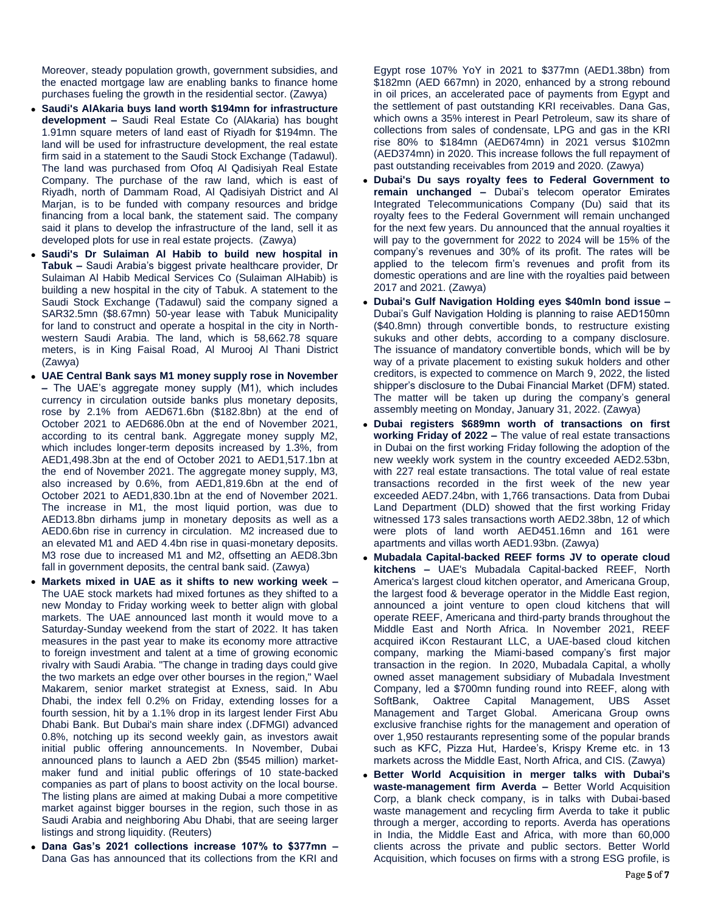Moreover, steady population growth, government subsidies, and the enacted mortgage law are enabling banks to finance home purchases fueling the growth in the residential sector. (Zawya)

- **Saudi's AlAkaria buys land worth \$194mn for infrastructure development –** Saudi Real Estate Co (AlAkaria) has bought 1.91mn square meters of land east of Riyadh for \$194mn. The land will be used for infrastructure development, the real estate firm said in a statement to the Saudi Stock Exchange (Tadawul). The land was purchased from Ofoq Al Qadisiyah Real Estate Company. The purchase of the raw land, which is east of Riyadh, north of Dammam Road, Al Qadisiyah District and Al Marjan, is to be funded with company resources and bridge financing from a local bank, the statement said. The company said it plans to develop the infrastructure of the land, sell it as developed plots for use in real estate projects. (Zawya)
- **Saudi's Dr Sulaiman Al Habib to build new hospital in Tabuk –** Saudi Arabia's biggest private healthcare provider, Dr Sulaiman Al Habib Medical Services Co (Sulaiman AlHabib) is building a new hospital in the city of Tabuk. A statement to the Saudi Stock Exchange (Tadawul) said the company signed a SAR32.5mn (\$8.67mn) 50-year lease with Tabuk Municipality for land to construct and operate a hospital in the city in Northwestern Saudi Arabia. The land, which is 58,662.78 square meters, is in King Faisal Road, Al Murooj Al Thani District (Zawya)
- **UAE Central Bank says M1 money supply rose in November –** The UAE's aggregate money supply (M1), which includes currency in circulation outside banks plus monetary deposits, rose by 2.1% from AED671.6bn (\$182.8bn) at the end of October 2021 to AED686.0bn at the end of November 2021, according to its central bank. Aggregate money supply M2, which includes longer-term deposits increased by 1.3%, from AED1,498.3bn at the end of October 2021 to AED1,517.1bn at the end of November 2021. The aggregate money supply, M3, also increased by 0.6%, from AED1,819.6bn at the end of October 2021 to AED1,830.1bn at the end of November 2021. The increase in M1, the most liquid portion, was due to AED13.8bn dirhams jump in monetary deposits as well as a AED0.6bn rise in currency in circulation. M2 increased due to an elevated M1 and AED 4.4bn rise in quasi-monetary deposits. M3 rose due to increased M1 and M2, offsetting an AED8.3bn fall in government deposits, the central bank said. (Zawya)
- **Markets mixed in UAE as it shifts to new working week –** The UAE stock markets had mixed fortunes as they shifted to a new Monday to Friday working week to better align with global markets. The UAE announced last month it would move to a Saturday-Sunday weekend from the start of 2022. It has taken measures in the past year to make its economy more attractive to foreign investment and talent at a time of growing economic rivalry with Saudi Arabia. "The change in trading days could give the two markets an edge over other bourses in the region," Wael Makarem, senior market strategist at Exness, said. In Abu Dhabi, the index fell 0.2% on Friday, extending losses for a fourth session, hit by a 1.1% drop in its largest lender First Abu Dhabi Bank. But Dubai's main share index (.DFMGI) advanced 0.8%, notching up its second weekly gain, as investors await initial public offering announcements. In November, Dubai announced plans to launch a AED 2bn (\$545 million) marketmaker fund and initial public offerings of 10 state-backed companies as part of plans to boost activity on the local bourse. The listing plans are aimed at making Dubai a more competitive market against bigger bourses in the region, such those in as Saudi Arabia and neighboring Abu Dhabi, that are seeing larger listings and strong liquidity. (Reuters)
- **Dana Gas's 2021 collections increase 107% to \$377mn –** Dana Gas has announced that its collections from the KRI and

Egypt rose 107% YoY in 2021 to \$377mn (AED1.38bn) from \$182mn (AED 667mn) in 2020, enhanced by a strong rebound in oil prices, an accelerated pace of payments from Egypt and the settlement of past outstanding KRI receivables. Dana Gas, which owns a 35% interest in Pearl Petroleum, saw its share of collections from sales of condensate, LPG and gas in the KRI rise 80% to \$184mn (AED674mn) in 2021 versus \$102mn (AED374mn) in 2020. This increase follows the full repayment of past outstanding receivables from 2019 and 2020. (Zawya)

- **Dubai's Du says royalty fees to Federal Government to remain unchanged –** Dubai's telecom operator Emirates Integrated Telecommunications Company (Du) said that its royalty fees to the Federal Government will remain unchanged for the next few years. Du announced that the annual royalties it will pay to the government for 2022 to 2024 will be 15% of the company's revenues and 30% of its profit. The rates will be applied to the telecom firm's revenues and profit from its domestic operations and are line with the royalties paid between 2017 and 2021. (Zawya)
- **Dubai's Gulf Navigation Holding eyes \$40mln bond issue –** Dubai's Gulf Navigation Holding is planning to raise AED150mn (\$40.8mn) through convertible bonds, to restructure existing sukuks and other debts, according to a company disclosure. The issuance of mandatory convertible bonds, which will be by way of a private placement to existing sukuk holders and other creditors, is expected to commence on March 9, 2022, the listed shipper's disclosure to the Dubai Financial Market (DFM) stated. The matter will be taken up during the company's general assembly meeting on Monday, January 31, 2022. (Zawya)
- **Dubai registers \$689mn worth of transactions on first working Friday of 2022 –** The value of real estate transactions in Dubai on the first working Friday following the adoption of the new weekly work system in the country exceeded AED2.53bn, with 227 real estate transactions. The total value of real estate transactions recorded in the first week of the new year exceeded AED7.24bn, with 1,766 transactions. Data from Dubai Land Department (DLD) showed that the first working Friday witnessed 173 sales transactions worth AED2.38bn, 12 of which were plots of land worth AED451.16mn and 161 were apartments and villas worth AED1.93bn. (Zawya)
- **Mubadala Capital-backed REEF forms JV to operate cloud kitchens –** UAE's Mubadala Capital-backed REEF, North America's largest cloud kitchen operator, and Americana Group, the largest food & beverage operator in the Middle East region, announced a joint venture to open cloud kitchens that will operate REEF, Americana and third-party brands throughout the Middle East and North Africa. In November 2021, REEF acquired iKcon Restaurant LLC, a UAE-based cloud kitchen company, marking the Miami-based company's first major transaction in the region. In 2020, Mubadala Capital, a wholly owned asset management subsidiary of Mubadala Investment Company, led a \$700mn funding round into REEF, along with SoftBank, Oaktree Capital Management, UBS Asset Management and Target Global. Americana Group owns exclusive franchise rights for the management and operation of over 1,950 restaurants representing some of the popular brands such as KFC, Pizza Hut, Hardee's, Krispy Kreme etc. in 13 markets across the Middle East, North Africa, and CIS. (Zawya)
- **Better World Acquisition in merger talks with Dubai's waste-management firm Averda –** Better World Acquisition Corp, a blank check company, is in talks with Dubai-based waste management and recycling firm Averda to take it public through a merger, according to reports. Averda has operations in India, the Middle East and Africa, with more than 60,000 clients across the private and public sectors. Better World Acquisition, which focuses on firms with a strong ESG profile, is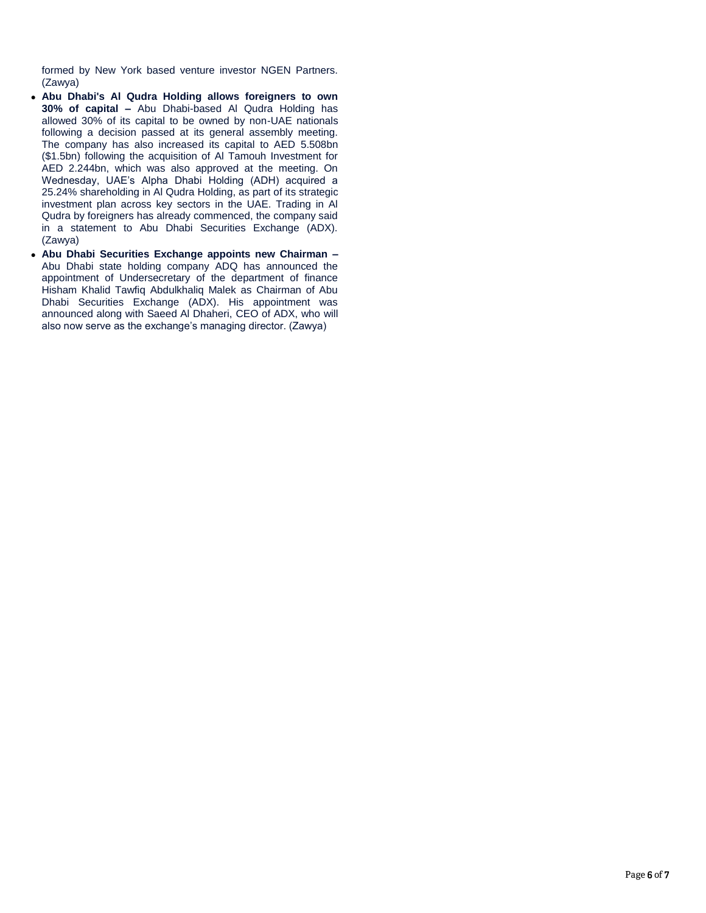formed by New York based venture investor NGEN Partners. (Zawya)

- **Abu Dhabi's Al Qudra Holding allows foreigners to own 30% of capital –** Abu Dhabi-based Al Qudra Holding has allowed 30% of its capital to be owned by non-UAE nationals following a decision passed at its general assembly meeting. The company has also increased its capital to AED 5.508bn (\$1.5bn) following the acquisition of Al Tamouh Investment for AED 2.244bn, which was also approved at the meeting. On Wednesday, UAE's Alpha Dhabi Holding (ADH) acquired a 25.24% shareholding in Al Qudra Holding, as part of its strategic investment plan across key sectors in the UAE. Trading in Al Qudra by foreigners has already commenced, the company said in a statement to Abu Dhabi Securities Exchange (ADX). (Zawya)
- **Abu Dhabi Securities Exchange appoints new Chairman –** Abu Dhabi state holding company ADQ has announced the appointment of Undersecretary of the department of finance Hisham Khalid Tawfiq Abdulkhaliq Malek as Chairman of Abu Dhabi Securities Exchange (ADX). His appointment was announced along with Saeed Al Dhaheri, CEO of ADX, who will also now serve as the exchange's managing director. (Zawya)